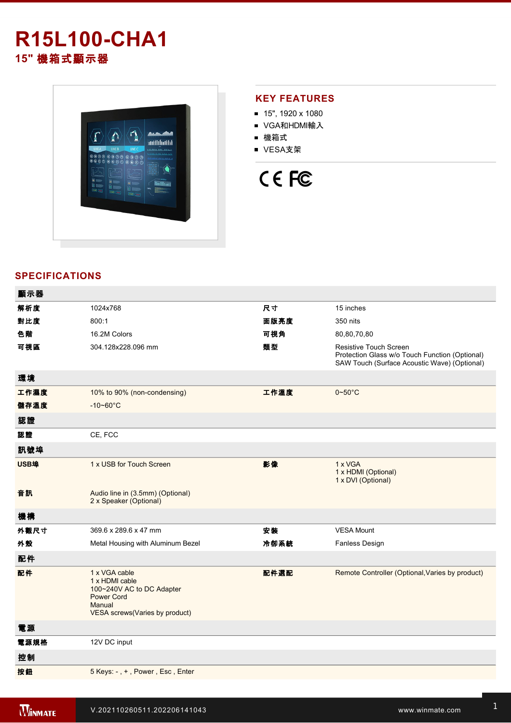# **R15L100-CHA1 15"** 機箱式顯示器



#### **KEY FEATURES**

- 15", 1920 x 1080
- VGA和HDMI輸入
- 機箱式
- VESA支架

# CE FC

## **SPECIFICATIONS**

| 顯示器  |                                                                                                                               |      |                                                                                                                          |
|------|-------------------------------------------------------------------------------------------------------------------------------|------|--------------------------------------------------------------------------------------------------------------------------|
| 解析度  | 1024x768                                                                                                                      | 尺寸   | 15 inches                                                                                                                |
| 對比度  | 800:1                                                                                                                         | 面版亮度 | 350 nits                                                                                                                 |
| 色階   | 16.2M Colors                                                                                                                  | 可視角  | 80,80,70,80                                                                                                              |
| 可視區  | 304.128x228.096 mm                                                                                                            | 類型   | Resistive Touch Screen<br>Protection Glass w/o Touch Function (Optional)<br>SAW Touch (Surface Acoustic Wave) (Optional) |
| 環境   |                                                                                                                               |      |                                                                                                                          |
| 工作濕度 | 10% to 90% (non-condensing)                                                                                                   | 工作溫度 | $0 - 50$ °C                                                                                                              |
| 儲存溫度 | $-10 - 60^{\circ}C$                                                                                                           |      |                                                                                                                          |
| 認證   |                                                                                                                               |      |                                                                                                                          |
| 認證   | CE, FCC                                                                                                                       |      |                                                                                                                          |
| 訊號埠  |                                                                                                                               |      |                                                                                                                          |
| USB埠 | 1 x USB for Touch Screen                                                                                                      | 影像   | 1 x VGA<br>1 x HDMI (Optional)<br>1 x DVI (Optional)                                                                     |
| 音訊   | Audio line in (3.5mm) (Optional)<br>2 x Speaker (Optional)                                                                    |      |                                                                                                                          |
| 機構   |                                                                                                                               |      |                                                                                                                          |
| 外觀尺寸 | 369.6 x 289.6 x 47 mm                                                                                                         | 安装   | <b>VESA Mount</b>                                                                                                        |
| 外殼   | Metal Housing with Aluminum Bezel                                                                                             | 冷卻系統 | <b>Fanless Design</b>                                                                                                    |
| 配件   |                                                                                                                               |      |                                                                                                                          |
| 配件   | 1 x VGA cable<br>1 x HDMI cable<br>100~240V AC to DC Adapter<br><b>Power Cord</b><br>Manual<br>VESA screws(Varies by product) | 配件選配 | Remote Controller (Optional, Varies by product)                                                                          |
| 電源   |                                                                                                                               |      |                                                                                                                          |
| 電源規格 | 12V DC input                                                                                                                  |      |                                                                                                                          |
| 控制   |                                                                                                                               |      |                                                                                                                          |
| 按鈕   | 5 Keys: -, +, Power, Esc, Enter                                                                                               |      |                                                                                                                          |
|      |                                                                                                                               |      |                                                                                                                          |